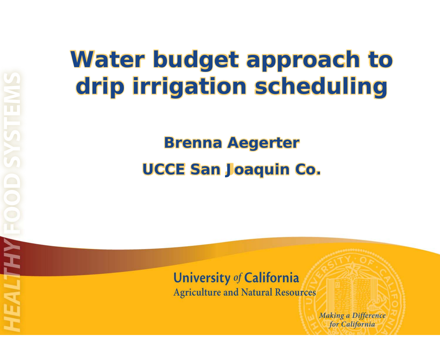## **Water budget approach to drip irrigation scheduling**

### **Brenna Aegerter UCCE San Joaquin Co.**

**University of California** 

**Agriculture and Natural Resources** 

**Making a Difference** for California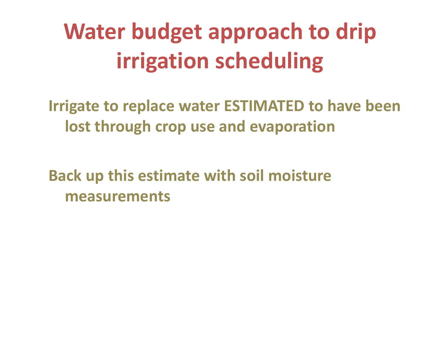# **Water budget approach to drip irrigation scheduling**

**Irrigate to replace water ESTIMATED to have been lost through crop use and evaporation**

**Back up this estimate wi ht soil moisture measurements**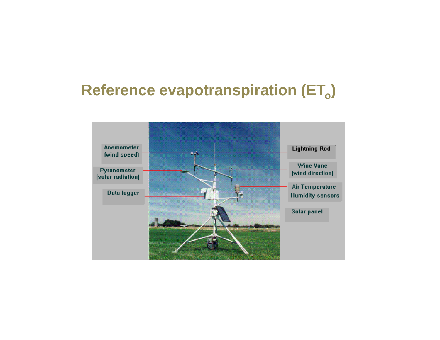#### Reference evapotranspiration (ET<sub>o</sub>)

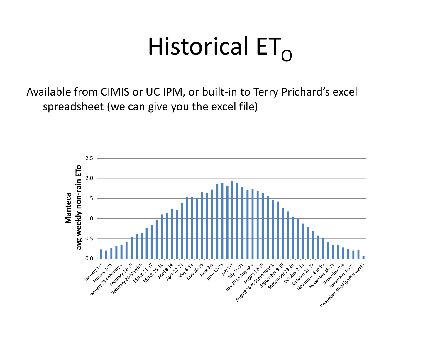# Historical  $ET_{\Omega}$

Available from CIMIS or UC IPM, or built-in to Terry Prichard's excel spreadsheet (we can give you the excel file)

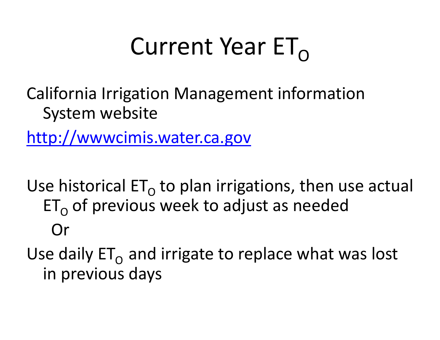# Current Year  $ET_{\Omega}$

California Irrigation Management information System website

http://wwwcimis.water.ca.gov

Use historical ET $_{\rm O}$  to plan irrigations, then use actual  $\mathsf{ET}_\mathsf{O}$  of previous week to adjust as needed Or

Use daily ET $_{\rm O}$  and irrigate to replace what was lost in previous days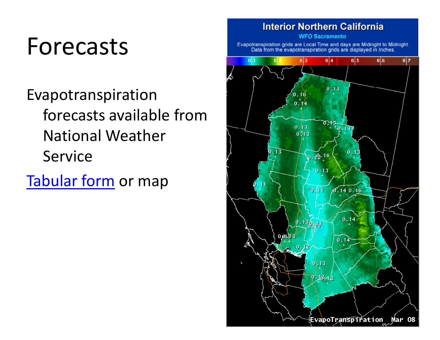# Forecasts

Evapotranspiration forecasts available fromNational Weather**Service** 

Tabular form or map

**Interior Northern California WFO Sacramento** Evapotranspiration grids are Local Time and days are Midnight to Midnight. Data from the evapotranspiration grids are displayed in Inches.  $0|6$  $|0|1$  $0<sup>13</sup>$  $0|4$  $0|5$  $0<sub>17</sub>$  $0.13$  $0.1$ 0.  $\mathfrak{v}_{.15}$   $\frac{1}{9.137}$  $0.13$  $0713$  $0.13$  $0.13$  $0.12 - 16$  $0.13$  $0.111$  $0.140.16$  $0.14$  $0.013$  $0.1<sup>2</sup>$  $0.13$  $0.12 - 18$ EvapoTranspîration Mar O8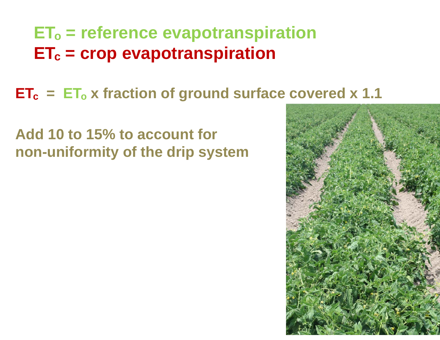### **ETo = reference evapotranspiration ETc = crop evapotranspiration**

### **ETc = ETo x fraction of ground surface covered x 1.1**

#### **Add 10 to 15% to account for non-uniformity of the drip system**

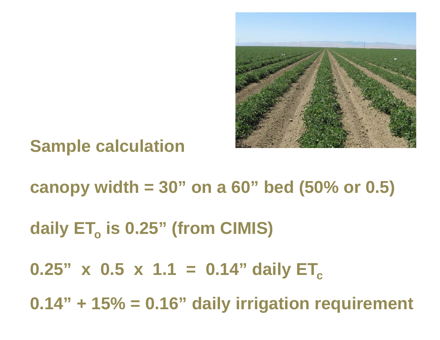

### **Sample calculation**

**canopy width = 30" on a 60" bed (50% or 0.5) daily ETo is 0.25" (from CIMIS) 0.25"** x **0.5** x 1.1 = 0.14" daily ET<sub>c</sub> **0.14" + 15% = 0.16" daily irrigation requirement**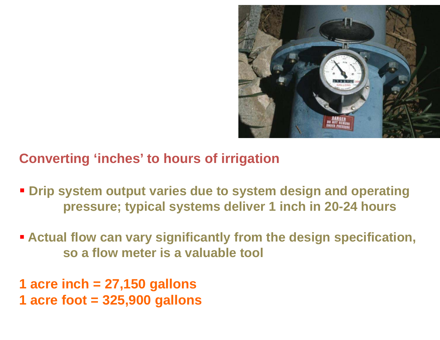

#### **Converting 'inches' to hours of irrigation**

- **Drip system output varies due to system design and operating** pressure; typical systems deliver 1 inch in 20-24 hours
- **Actual flow can vary significantly from the design specification, so a flow meter is a valuable tool**
- **1 acre inch = 27,150 gallons 1 acre foot = 325,900 gallons**